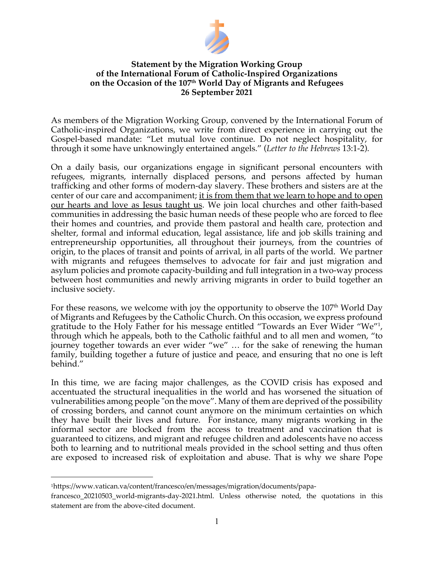

## **Statement by the Migration Working Group of the International Forum of Catholic-Inspired Organizations on the Occasion of the 107th World Day of Migrants and Refugees 26 September 2021**

As members of the Migration Working Group, convened by the International Forum of Catholic-inspired Organizations, we write from direct experience in carrying out the Gospel-based mandate: "Let mutual love continue. Do not neglect hospitality, for through it some have unknowingly entertained angels." (*Letter to the Hebrews* 13:1-2).

On a daily basis, our organizations engage in significant personal encounters with refugees, migrants, internally displaced persons, and persons affected by human trafficking and other forms of modern-day slavery. These brothers and sisters are at the center of our care and accompaniment; it is from them that we learn to hope and to open our hearts and love as Jesus taught us. We join local churches and other faith-based communities in addressing the basic human needs of these people who are forced to flee their homes and countries, and provide them pastoral and health care, protection and shelter, formal and informal education, legal assistance, life and job skills training and entrepreneurship opportunities, all throughout their journeys, from the countries of origin, to the places of transit and points of arrival, in all parts of the world. We partner with migrants and refugees themselves to advocate for fair and just migration and asylum policies and promote capacity-building and full integration in a two-way process between host communities and newly arriving migrants in order to build together an inclusive society.

For these reasons, we welcome with joy the opportunity to observe the  $107<sup>th</sup>$  World Day of Migrants and Refugees by the Catholic Church. On this occasion, we express profound gratitude to the Holy Father for his message entitled "Towards an Ever Wider "We"1 , through which he appeals, both to the Catholic faithful and to all men and women, "to journey together towards an ever wider "we" … for the sake of renewing the human family, building together a future of justice and peace, and ensuring that no one is left behind."

In this time, we are facing major challenges, as the COVID crisis has exposed and accentuated the structural inequalities in the world and has worsened the situation of vulnerabilities among people "on the move". Many of them are deprived of the possibility of crossing borders, and cannot count anymore on the minimum certainties on which they have built their lives and future. For instance, many migrants working in the informal sector are blocked from the access to treatment and vaccination that is guaranteed to citizens, and migrant and refugee children and adolescents have no access both to learning and to nutritional meals provided in the school setting and thus often are exposed to increased risk of exploitation and abuse. That is why we share Pope

<sup>1</sup>https://www.vatican.va/content/francesco/en/messages/migration/documents/papa-

francesco\_20210503\_world-migrants-day-2021.html. Unless otherwise noted, the quotations in this statement are from the above-cited document.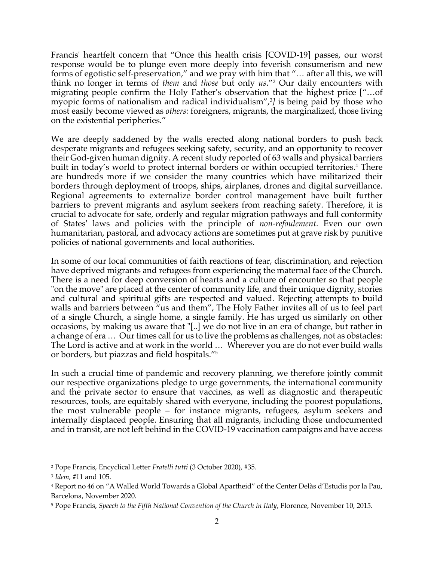Francis' heartfelt concern that "Once this health crisis [COVID-19] passes, our worst response would be to plunge even more deeply into feverish consumerism and new forms of egotistic self-preservation," and we pray with him that "… after all this, we will think no longer in terms of *them* and *those* but only *us*."2 Our daily encounters with migrating people confirm the Holy Father's observation that the highest price ["…of myopic forms of nationalism and radical individualism",3 *]* is being paid by those who most easily become viewed as *others:* foreigners, migrants, the marginalized, those living on the existential peripheries."

We are deeply saddened by the walls erected along national borders to push back desperate migrants and refugees seeking safety, security, and an opportunity to recover their God-given human dignity. A recent study reported of 63 walls and physical barriers built in today's world to protect internal borders or within occupied territories. <sup>4</sup> There are hundreds more if we consider the many countries which have militarized their borders through deployment of troops, ships, airplanes, drones and digital surveillance. Regional agreements to externalize border control management have built further barriers to prevent migrants and asylum seekers from reaching safety. Therefore, it is crucial to advocate for safe, orderly and regular migration pathways and full conformity of States' laws and policies with the principle of *non-refoulement*. Even our own humanitarian, pastoral, and advocacy actions are sometimes put at grave risk by punitive policies of national governments and local authorities.

In some of our local communities of faith reactions of fear, discrimination, and rejection have deprived migrants and refugees from experiencing the maternal face of the Church. There is a need for deep conversion of hearts and a culture of encounter so that people "on the move" are placed at the center of community life, and their unique dignity, stories and cultural and spiritual gifts are respected and valued. Rejecting attempts to build walls and barriers between "us and them", The Holy Father invites all of us to feel part of a single Church, a single home, a single family. He has urged us similarly on other occasions, by making us aware that "[..] we do not live in an era of change, but rather in a change of era … Our times call for us to live the problems as challenges, not as obstacles: The Lord is active and at work in the world … Wherever you are do not ever build walls or borders, but piazzas and field hospitals."5

In such a crucial time of pandemic and recovery planning, we therefore jointly commit our respective organizations pledge to urge governments, the international community and the private sector to ensure that vaccines, as well as diagnostic and therapeutic resources, tools, are equitably shared with everyone, including the poorest populations, the most vulnerable people – for instance migrants, refugees, asylum seekers and internally displaced people. Ensuring that all migrants, including those undocumented and in transit, are not left behind in the COVID-19 vaccination campaigns and have access

<sup>2</sup> Pope Francis, Encyclical Letter *Fratelli tutti* (3 October 2020), #35.

<sup>3</sup> *Idem,* #11 and 105.

<sup>4</sup> Report no 46 on "A Walled World Towards a Global Apartheid" of the Center Delàs d'Estudis por la Pau, Barcelona, November 2020.

<sup>5</sup> Pope Francis, *Speech to the Fifth National Convention of the Church in Italy*, Florence, November 10, 2015.